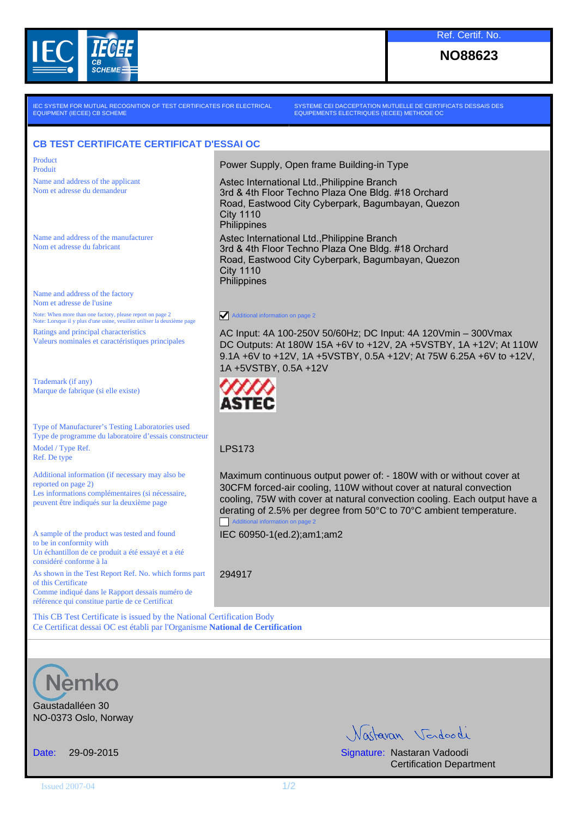

**NO88623**

IEC SYSTEM FOR MUTUAL RECOGNITION OF TEST CERTIFICATES FOR ELECTRICAL EQUIPMENT (IECEE) CB SCHEME

SYSTEME CEI DACCEPTATION MUTUELLE DE CERTIFICATS DESSAIS DES EQUIPEMENTS ELECTRIQUES (IECEE) METHODE OC

## **CB TEST CERTIFICATE CERTIFICAT D'ESSAI OC**

Product

Name and address of the applicant Nom et adresse du demandeur

Name and address of the manufacturer Nom et adresse du fabricant

Name and address of the factory Nom et adresse de l'usine Note: When more than one factory, please report on page 2 Note: Lorsque il y plus d'une usine, veuillez utiliser la deuxième page Ratings and principal characteristics Valeurs nominales et caractéristiques principales

Trademark (if any) Marque de fabrique (si elle existe)

Type of Manufacturer's Testing Laboratories used Type de programme du laboratoire d'essais constructeur Model / Type Ref. Ref. De type

Additional information (if necessary may also be reported on page 2) Les informations complémentaires (si nécessaire, peuvent être indiqués sur la deuxième page

A sample of the product was tested and found to be in conformity with Un échantillon de ce produit a été essayé et a été considéré conforme à la

As shown in the Test Report Ref. No. which forms part of this Certificate Comme indiqué dans le Rapport dessais numéro de référence qui constitue partie de ce Certificat

This CB Test Certificate is issued by the National Certification Body Ce Certificat dessai OC est établi par l'Organisme **National de Certification**



Gaustadalléen 30 NO-0373 Oslo, Norway

Vartavan Verdoodi

Date: 29-09-2015 Signature: Nastaran Vadoodi Certification Department

Product Product **Product** Product **Product** Product **Product** Product **Product** Product **Product** 

Astec International Ltd.,Philippine Branch 3rd & 4th Floor Techno Plaza One Bldg. #18 Orchard Road, Eastwood City Cyberpark, Bagumbayan, Quezon City 1110 **Philippines** 

Astec International Ltd.,Philippine Branch 3rd & 4th Floor Techno Plaza One Bldg. #18 Orchard Road, Eastwood City Cyberpark, Bagumbayan, Quezon City 1110 **Philippines** 

## Additional information on page 2

AC Input: 4A 100-250V 50/60Hz; DC Input: 4A 120Vmin – 300Vmax DC Outputs: At 180W 15A +6V to +12V, 2A +5VSTBY, 1A +12V; At 110W 9.1A +6V to +12V, 1A +5VSTBY, 0.5A +12V; At 75W 6.25A +6V to +12V, 1A +5VSTBY, 0.5A +12V



## LPS173

Maximum continuous output power of: - 180W with or without cover at 30CFM forced-air cooling, 110W without cover at natural convection cooling, 75W with cover at natural convection cooling. Each output have a derating of 2.5% per degree from 50°C to 70°C ambient temperature. **Additional information on page** 

IEC 60950-1(ed.2);am1;am2

294917